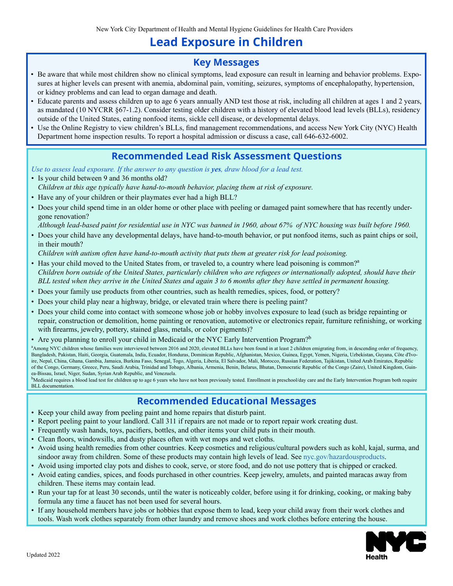## **Lead Exposure in Children**

#### **Key Messages**

- Be aware that while most children show no clinical symptoms, lead exposure can result in learning and behavior problems. Exposures at higher levels can present with anemia, abdominal pain, vomiting, seizures, symptoms of encephalopathy, hypertension, or kidney problems and can lead to organ damage and death.
- Educate parents and assess children up to age 6 years annually AND test those at risk, including all children at ages 1 and 2 years, as mandated (10 NYCRR §67-1.2). Consider testing older children with a history of elevated blood lead levels (BLLs), residency outside of the United States, eating nonfood items, sickle cell disease, or developmental delays.
- Use the Online Registry to view children's BLLs, find management recommendations, and access New York City (NYC) Health Department home inspection results. To report a hospital admission or discuss a case, call 646-632-6002.

### **Recommended Lead Risk Assessment Questions**

*Use to assess lead exposure. If the answer to any question is <i>yes*, *draw blood for a lead test.* 

• Is your child between 9 and 36 months old? *Children at this age typically have hand-to-mouth behavior, placing them at risk of exposure.*

- Have any of your children or their playmates ever had a high BLL?
- Does your child spend time in an older home or other place with peeling or damaged paint somewhere that has recently undergone renovation?

*Although lead-based paint for residential use in NYC was banned in 1960, about 67% of NYC housing was built before 1960.*

• Does your child have any developmental delays, have hand-to-mouth behavior, or put nonfood items, such as paint chips or soil, in their mouth?

*Children with autism often have hand-to-mouth activity that puts them at greater risk for lead poisoning.*

- Has your child moved to the United States from, or traveled to, a country where lead poisoning is common?<sup>3</sup> *Children born outside of the United States, particularly children who are refugees or internationally adopted, should have their BLL tested when they arrive in the United States and again 3 to 6 months after they have settled in permanent housing.*
- Does your family use products from other countries, such as health remedies, spices, food, or pottery?
- Does your child play near a highway, bridge, or elevated train where there is peeling paint?
- Does your child come into contact with someone whose job or hobby involves exposure to lead (such as bridge repainting or repair, construction or demolition, home painting or renovation, automotive or electronics repair, furniture refinishing, or working with firearms, jewelry, pottery, stained glass, metals, or color pigments)?
- Are you planning to enroll your child in Medicaid or the NYC Early Intervention Program?<sup>b</sup>

<sup>a</sup> Among NYC children whose families were interviewed between 2016 and 2020, elevated BLLs have been found in at least 2 children emigrating from, in descending order of frequency, Bangladesh, Pakistan, Haiti, Georgia, Guatemala, India, Ecuador, Honduras, Dominican Republic, Afghanistan, Mexico, Guinea, Egypt, Yemen, Nigeria, Uzbekistan, Guyana, Côte d'Ivoire, Nepal, China, Ghana, Gambia, Jamaica, Burkina Faso, Senegal, Togo, Algeria, Liberia, El Salvador, Mali, Morocco, Russian Federation, Tajikistan, United Arab Emirates, Republic of the Congo, Germany, Greece, Peru, Saudi Arabia, Trinidad and Tobago, Albania, Armenia, Benin, Belarus, Bhutan, Democratic Republic of the Congo (Zaire), United Kingdom, Guinea-Bissau, Israel, Niger, Sudan, Syrian Arab Republic, and Venezuela.

<sup>b</sup>Medicaid requires a blood lead test for children up to age 6 years who have not been previously tested. Enrollment in preschool/day care and the Early Intervention Program both require BLL documentation.

### **Recommended Educational Messages**

- Keep your child away from peeling paint and home repairs that disturb paint.
- Report peeling paint to your landlord. Call 311 if repairs are not made or to report repair work creating dust.
- Frequently wash hands, toys, pacifiers, bottles, and other items your child puts in their mouth.
- Clean floors, windowsills, and dusty places often with wet mops and wet cloths.
- Avoid using health remedies from other countries. Keep cosmetics and religious/cultural powders such as kohl, kajal, surma, and sindoor away from children. Some of these products may contain high levels of lead. See [nyc.gov/hazardousproducts](http://nyc.gov/hazardousproducts).
- Avoid using imported clay pots and dishes to cook, serve, or store food, and do not use pottery that is chipped or cracked.
- Avoid eating candies, spices, and foods purchased in other countries. Keep jewelry, amulets, and painted maracas away from children. These items may contain lead.
- Run your tap for at least 30 seconds, until the water is noticeably colder, before using it for drinking, cooking, or making baby formula any time a faucet has not been used for several hours.
- If any household members have jobs or hobbies that expose them to lead, keep your child away from their work clothes and tools. Wash work clothes separately from other laundry and remove shoes and work clothes before entering the house.